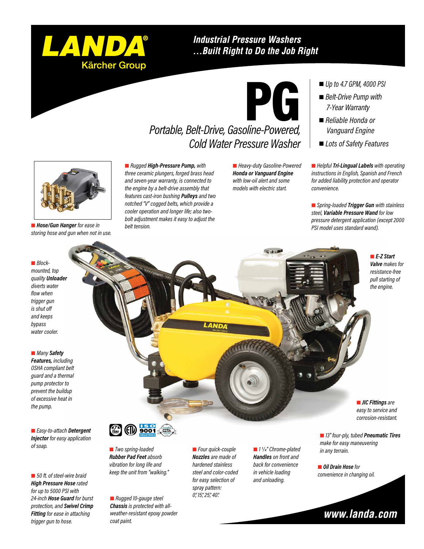

### **Industrial Pressure Washers** ...Built Right to Do the Job Right



## *Portable, Belt-Drive, Gasoline-Powered, Cold Water Pressure Washer*

 *Rugged High-Pressure Pump, with three ceramic plungers, forged brass head and seven-year warranty, is connected to the engine by a belt-drive assembly that features cast-iron bushing Pulleys and two notched "V" cogged belts, which provide a cooler operation and longer life; also twobolt adjustment makes it easy to adjust the belt tension.*

 *Heavy-duty Gasoline-Powered Honda or Vanguard Engine with low-oil alert and some models with electric start.*

- *Up to 4.7 GPM, 4000 PSI*
- *Belt-Drive Pump with 7-Year Warranty*
- *Reliable Honda or Vanguard Engine*
- *Lots of Safety Features*

 *Helpful Tri-Lingual Labels with operating instructions in English, Spanish and French for added liability protection and operator convenience.*

 *Spring-loaded Trigger Gun with stainless steel, Variable Pressure Wand for low pressure detergent application (except 2000 PSI model uses standard wand).*

> *E-Z Start Valve makes for resistance-free pull starting of the engine.*

#### *Blockmounted, top quality Unloader diverts water flow when trigger gun is shut off and keeps bypass water cooler.*

 *Hose/Gun Hanger for ease in storing hose and gun when not in use.*

#### *Many Safety*

*Features, including OSHA compliant belt guard and a thermal pump protector to prevent the buildup of excessive heat in the pump.*

 *Easy-to-attach Detergent Injector for easy application of soap.*

 *50 ft. of steel-wire braid High Pressure Hose rated for up to 5000 PSI with 24-inch Hose Guard for burst protection, and Swivel Crimp Fitting for ease in attaching trigger gun to hose.*



 *13" four-ply, tubed Pneumatic Tires make for easy maneuvering corrosion-resistant.*

 *Oil Drain Hose for convenience in changing oil.*

*in any terrain.*



 *Two spring-loaded Rubber Pad Feet absorb vibration for long life and keep the unit from "walking."*

**PUMP WARRANTY**

 *Rugged 10-gauge steel Chassis is protected with allweather-resistant epoxy powder coat paint.*

 *Four quick-couple Nozzles are made of hardened stainless steel and color-coded for easy selection of spray pattern: 0°, 15°, 25°, 40°.*

 *1 1/4" Chrome-plated Handles on front and back for convenience in vehicle loading and unloading.*